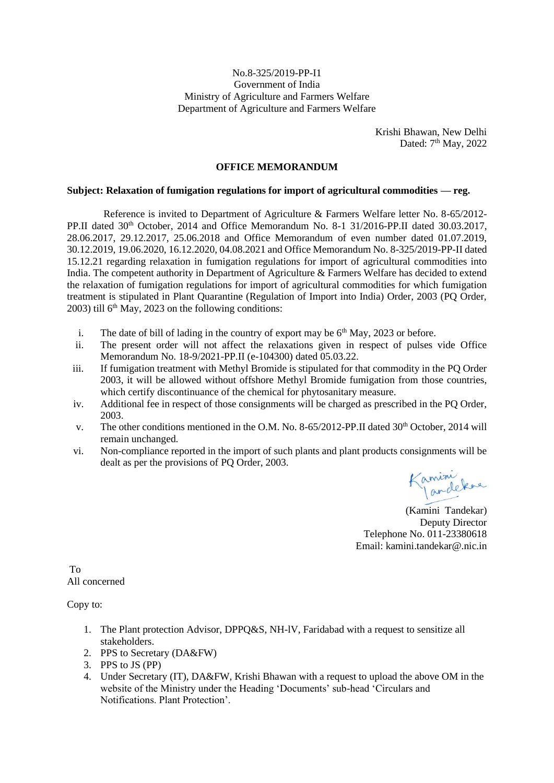## No.8-325/2019-PP-I1 Government of India Ministry of Agriculture and Farmers Welfare Department of Agriculture and Farmers Welfare

Krishi Bhawan, New Delhi Dated:  $7<sup>th</sup>$  May, 2022

## **OFFICE MEMORANDUM**

## **Subject: Relaxation of fumigation regulations for import of agricultural commodities — reg.**

 Reference is invited to Department of Agriculture & Farmers Welfare letter No. 8-65/2012- PP.II dated 30<sup>th</sup> October, 2014 and Office Memorandum No. 8-1 31/2016-PP.II dated 30.03.2017, 28.06.2017, 29.12.2017, 25.06.2018 and Office Memorandum of even number dated 01.07.2019, 30.12.2019, 19.06.2020, 16.12.2020, 04.08.2021 and Office Memorandum No. 8-325/2019-PP-II dated 15.12.21 regarding relaxation in fumigation regulations for import of agricultural commodities into India. The competent authority in Department of Agriculture & Farmers Welfare has decided to extend the relaxation of fumigation regulations for import of agricultural commodities for which fumigation treatment is stipulated in Plant Quarantine (Regulation of Import into India) Order, 2003 (PQ Order,  $2003$ ) till 6<sup>th</sup> May, 2023 on the following conditions:

- i. The date of bill of lading in the country of export may be  $6<sup>th</sup>$  May, 2023 or before.
- ii. The present order will not affect the relaxations given in respect of pulses vide Office Memorandum No. 18-9/2021-PP.II (e-104300) dated 05.03.22.
- iii. If fumigation treatment with Methyl Bromide is stipulated for that commodity in the PQ Order 2003, it will be allowed without offshore Methyl Bromide fumigation from those countries, which certify discontinuance of the chemical for phytosanitary measure.
- iv. Additional fee in respect of those consignments will be charged as prescribed in the PQ Order, 2003.
- v. The other conditions mentioned in the O.M. No. 8-65/2012-PP.II dated 30<sup>th</sup> October, 2014 will remain unchanged.
- vi. Non-compliance reported in the import of such plants and plant products consignments will be dealt as per the provisions of PQ Order, 2003.

Kamini

(Kamini Tandekar) Deputy Director Telephone No. 011-23380618 Email: kamini.tandekar@.nic.in

To All concerned

Copy to:

- 1. The Plant protection Advisor, DPPQ&S, NH-lV, Faridabad with a request to sensitize all stakeholders.
- 2. PPS to Secretary (DA&FW)
- 3. PPS to JS (PP)
- 4. Under Secretary (IT), DA&FW, Krishi Bhawan with a request to upload the above OM in the website of the Ministry under the Heading 'Documents' sub-head 'Circulars and Notifications. Plant Protection'.